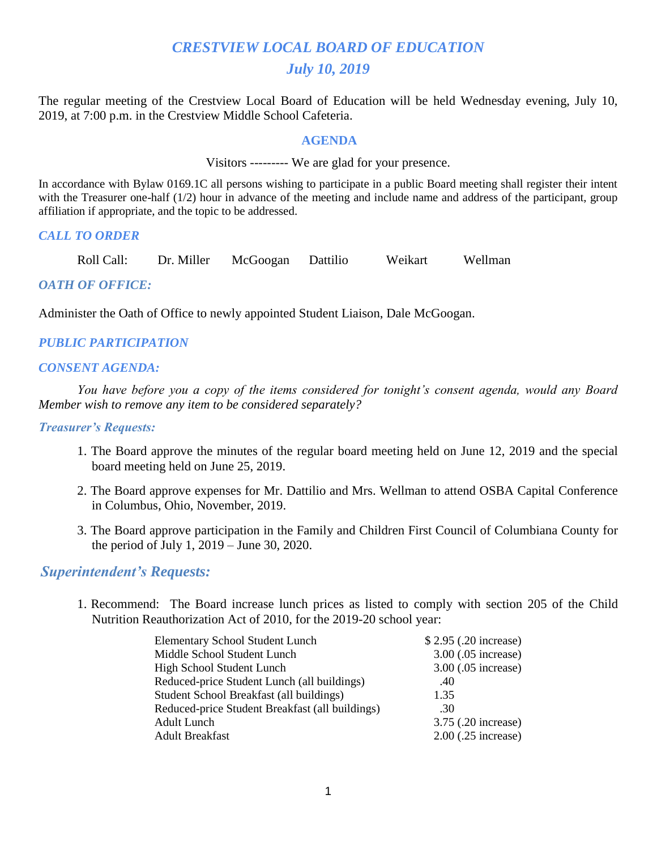# *CRESTVIEW LOCAL BOARD OF EDUCATION July 10, 2019*

The regular meeting of the Crestview Local Board of Education will be held Wednesday evening, July 10, 2019, at 7:00 p.m. in the Crestview Middle School Cafeteria.

#### **AGENDA**

Visitors --------- We are glad for your presence.

In accordance with Bylaw 0169.1C all persons wishing to participate in a public Board meeting shall register their intent with the Treasurer one-half (1/2) hour in advance of the meeting and include name and address of the participant, group affiliation if appropriate, and the topic to be addressed.

#### *CALL TO ORDER*

Roll Call: Dr. Miller McGoogan Dattilio Weikart Wellman

### *OATH OF OFFICE:*

Administer the Oath of Office to newly appointed Student Liaison, Dale McGoogan.

#### *PUBLIC PARTICIPATION*

#### *CONSENT AGENDA:*

 *You have before you a copy of the items considered for tonight's consent agenda, would any Board Member wish to remove any item to be considered separately?*

#### *Treasurer's Requests:*

- 1. The Board approve the minutes of the regular board meeting held on June 12, 2019 and the special board meeting held on June 25, 2019.
- 2. The Board approve expenses for Mr. Dattilio and Mrs. Wellman to attend OSBA Capital Conference in Columbus, Ohio, November, 2019.
- 3. The Board approve participation in the Family and Children First Council of Columbiana County for the period of July 1, 2019 – June 30, 2020.

### *Superintendent's Requests:*

1. Recommend: The Board increase lunch prices as listed to comply with section 205 of the Child Nutrition Reauthorization Act of 2010, for the 2019-20 school year:

| <b>Elementary School Student Lunch</b>          | \$2.95 (.20 increase) |
|-------------------------------------------------|-----------------------|
| Middle School Student Lunch                     | 3.00 (.05 increase)   |
| High School Student Lunch                       | 3.00 (.05 increase)   |
| Reduced-price Student Lunch (all buildings)     | .40                   |
| Student School Breakfast (all buildings)        | 1.35                  |
| Reduced-price Student Breakfast (all buildings) | .30                   |
| Adult Lunch                                     | 3.75 (.20 increase)   |
| <b>Adult Breakfast</b>                          | $2.00$ (.25 increase) |
|                                                 |                       |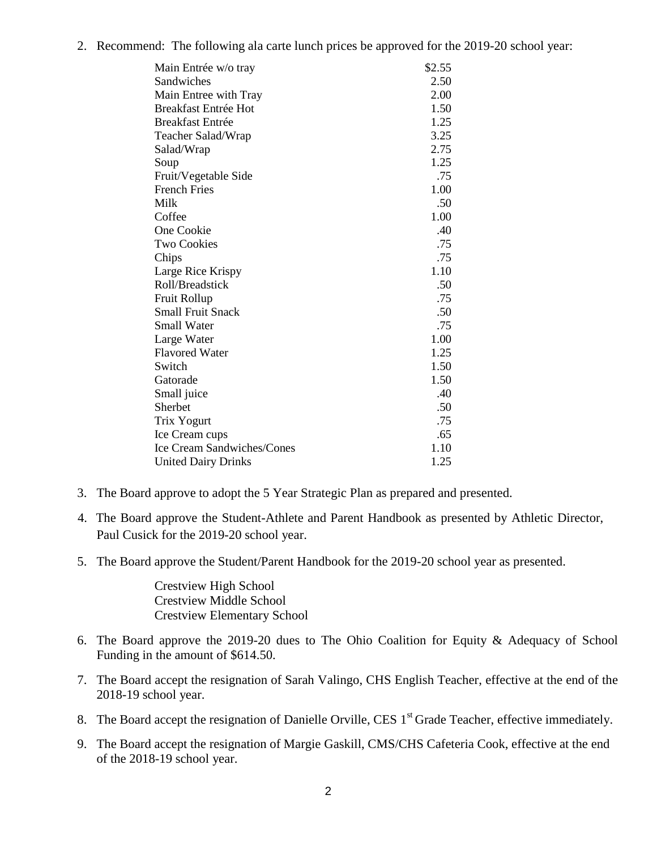2. Recommend: The following ala carte lunch prices be approved for the 2019-20 school year:

| Main Entrée w/o tray              | \$2.55 |
|-----------------------------------|--------|
| Sandwiches                        | 2.50   |
| Main Entree with Tray             | 2.00   |
| <b>Breakfast Entrée Hot</b>       | 1.50   |
| <b>Breakfast Entrée</b>           | 1.25   |
| Teacher Salad/Wrap                | 3.25   |
| Salad/Wrap                        | 2.75   |
| Soup                              | 1.25   |
| Fruit/Vegetable Side              | .75    |
| <b>French Fries</b>               | 1.00   |
| Milk                              | .50    |
| Coffee                            | 1.00   |
| One Cookie                        | .40    |
| <b>Two Cookies</b>                | .75    |
| Chips                             | .75    |
| Large Rice Krispy                 | 1.10   |
| Roll/Breadstick                   | .50    |
| <b>Fruit Rollup</b>               | .75    |
| <b>Small Fruit Snack</b>          | .50    |
| <b>Small Water</b>                | .75    |
| Large Water                       | 1.00   |
| <b>Flavored Water</b>             | 1.25   |
| Switch                            | 1.50   |
| Gatorade                          | 1.50   |
| Small juice                       | .40    |
| Sherbet                           | .50    |
| Trix Yogurt                       | .75    |
| Ice Cream cups                    | .65    |
| <b>Ice Cream Sandwiches/Cones</b> | 1.10   |
| <b>United Dairy Drinks</b>        | 1.25   |

- 3. The Board approve to adopt the 5 Year Strategic Plan as prepared and presented.
- 4. The Board approve the Student-Athlete and Parent Handbook as presented by Athletic Director, Paul Cusick for the 2019-20 school year.
- 5. The Board approve the Student/Parent Handbook for the 2019-20 school year as presented.

Crestview High School Crestview Middle School Crestview Elementary School

- 6. The Board approve the 2019-20 dues to The Ohio Coalition for Equity & Adequacy of School Funding in the amount of \$614.50.
- 7. The Board accept the resignation of Sarah Valingo, CHS English Teacher, effective at the end of the 2018-19 school year.
- 8. The Board accept the resignation of Danielle Orville, CES 1<sup>st</sup> Grade Teacher, effective immediately.
- 9. The Board accept the resignation of Margie Gaskill, CMS/CHS Cafeteria Cook, effective at the end of the 2018-19 school year.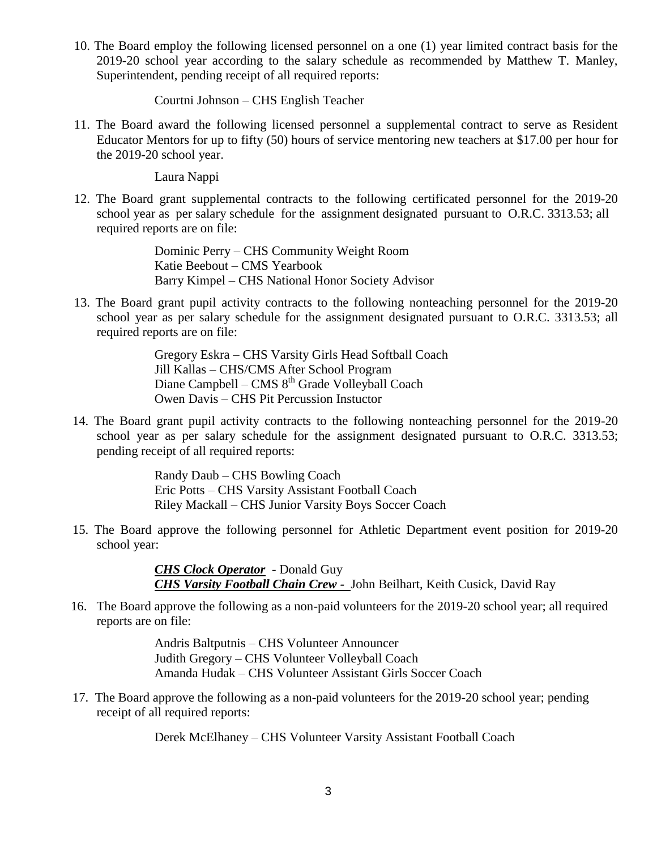10. The Board employ the following licensed personnel on a one (1) year limited contract basis for the 2019-20 school year according to the salary schedule as recommended by Matthew T. Manley, Superintendent, pending receipt of all required reports:

Courtni Johnson – CHS English Teacher

 11. The Board award the following licensed personnel a supplemental contract to serve as Resident Educator Mentors for up to fifty (50) hours of service mentoring new teachers at \$17.00 per hour for the 2019-20 school year.

Laura Nappi

12. The Board grant supplemental contracts to the following certificated personnel for the 2019-20 school year as per salary schedule for the assignment designated pursuant to O.R.C. 3313.53; all required reports are on file:

> Dominic Perry – CHS Community Weight Room Katie Beebout – CMS Yearbook Barry Kimpel – CHS National Honor Society Advisor

 13. The Board grant pupil activity contracts to the following nonteaching personnel for the 2019-20 school year as per salary schedule for the assignment designated pursuant to O.R.C. 3313.53; all required reports are on file:

> Gregory Eskra – CHS Varsity Girls Head Softball Coach Jill Kallas – CHS/CMS After School Program Diane Campbell – CMS  $8<sup>th</sup>$  Grade Volleyball Coach Owen Davis – CHS Pit Percussion Instuctor

14. The Board grant pupil activity contracts to the following nonteaching personnel for the 2019-20 school year as per salary schedule for the assignment designated pursuant to O.R.C. 3313.53; pending receipt of all required reports:

> Randy Daub – CHS Bowling Coach Eric Potts – CHS Varsity Assistant Football Coach Riley Mackall – CHS Junior Varsity Boys Soccer Coach

15. The Board approve the following personnel for Athletic Department event position for 2019-20 school year:

> *CHS Clock Operator* - Donald Guy *CHS Varsity Football Chain Crew -* John Beilhart, Keith Cusick, David Ray

 16. The Board approve the following as a non-paid volunteers for the 2019-20 school year; all required reports are on file:

> Andris Baltputnis – CHS Volunteer Announcer Judith Gregory – CHS Volunteer Volleyball Coach Amanda Hudak – CHS Volunteer Assistant Girls Soccer Coach

17. The Board approve the following as a non-paid volunteers for the 2019-20 school year; pending receipt of all required reports:

Derek McElhaney – CHS Volunteer Varsity Assistant Football Coach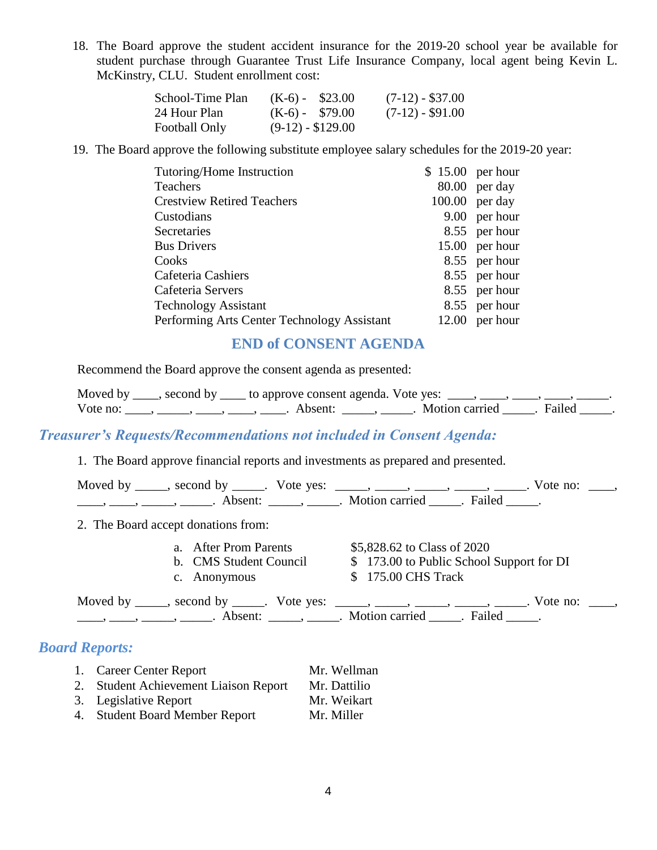18. The Board approve the student accident insurance for the 2019-20 school year be available for student purchase through Guarantee Trust Life Insurance Company, local agent being Kevin L. McKinstry, CLU. Student enrollment cost:

| School-Time Plan | $(K-6) - $23.00$   | $(7-12) - $37.00$ |
|------------------|--------------------|-------------------|
| 24 Hour Plan     | $(K-6) - $79.00$   | $(7-12) - $91.00$ |
| Football Only    | $(9-12) - $129.00$ |                   |

19. The Board approve the following substitute employee salary schedules for the 2019-20 year:

| Tutoring/Home Instruction                   | $$15.00$ per hour |
|---------------------------------------------|-------------------|
| <b>Teachers</b>                             | $80.00$ per day   |
| <b>Crestview Retired Teachers</b>           | $100.00$ per day  |
| Custodians                                  | 9.00 per hour     |
| <b>Secretaries</b>                          | 8.55 per hour     |
| <b>Bus Drivers</b>                          | 15.00 per hour    |
| Cooks                                       | 8.55 per hour     |
| Cafeteria Cashiers                          | 8.55 per hour     |
| Cafeteria Servers                           | 8.55 per hour     |
| <b>Technology Assistant</b>                 | 8.55 per hour     |
| Performing Arts Center Technology Assistant | $12.00$ per hour  |

## **END of CONSENT AGENDA**

Recommend the Board approve the consent agenda as presented:

|          | Moved by _____, second by _____ to approve consent agenda. Vote yes: |                |        |
|----------|----------------------------------------------------------------------|----------------|--------|
| Vote no: | Absent <sup>.</sup>                                                  | Motion carried | Failed |

## *Treasurer's Requests/Recommendations not included in Consent Agenda:*

1. The Board approve financial reports and investments as prepared and presented.

| $\frac{1}{1}, \frac{1}{1}, \frac{1}{1}, \frac{1}{1}, \frac{1}{1}, \frac{1}{1}, \frac{1}{1}, \frac{1}{1}, \frac{1}{1}, \frac{1}{1}, \frac{1}{1}, \frac{1}{1}, \frac{1}{1}, \frac{1}{1}, \frac{1}{1}, \frac{1}{1}, \frac{1}{1}, \frac{1}{1}, \frac{1}{1}, \frac{1}{1}, \frac{1}{1}, \frac{1}{1}, \frac{1}{1}, \frac{1}{1}, \frac{1}{1}, \frac{1}{1}, \frac{1}{1}, \frac{1}{1}, \frac{1}{1}, \frac{1}{1}, \frac{1}{1}, \frac{$ | Moved by _____, second by _____. Vote yes: _____, _____, _____, _____, _____. Vote no: ____,  |
|-----------------------------------------------------------------------------------------------------------------------------------------------------------------------------------------------------------------------------------------------------------------------------------------------------------------------------------------------------------------------------------------------------------------------------|-----------------------------------------------------------------------------------------------|
| 2. The Board accept donations from:                                                                                                                                                                                                                                                                                                                                                                                         |                                                                                               |
| a. After Prom Parents<br>b. CMS Student Council<br>c. Anonymous                                                                                                                                                                                                                                                                                                                                                             | \$5,828.62 to Class of 2020<br>\$173.00 to Public School Support for DI<br>\$175.00 CHS Track |
| $\frac{1}{1}$ , $\frac{1}{1}$ , $\frac{1}{1}$ , $\frac{1}{1}$ , $\frac{1}{1}$ , $\frac{1}{1}$ , $\frac{1}{1}$ , $\frac{1}{1}$ , $\frac{1}{1}$ , $\frac{1}{1}$ , $\frac{1}{1}$ , $\frac{1}{1}$ , $\frac{1}{1}$ , $\frac{1}{1}$ , $\frac{1}{1}$ , $\frac{1}{1}$ , $\frac{1}{1}$ , $\frac{1}{1}$ , $\frac{1}{1}$ , $\frac{1}{1}$ ,                                                                                             | Moved by _____, second by _____. Vote yes: _____, _____, _____, _____, _____. Vote no: ____,  |

## *Board Reports:*

| Career Center Report | Mr. Wellman |
|----------------------|-------------|
|----------------------|-------------|

- 2. Student Achievement Liaison Report Mr. Dattilio
- 3. Legislative Report Mr. Weikart
- 
- 4. Student Board Member Report Mr. Miller
-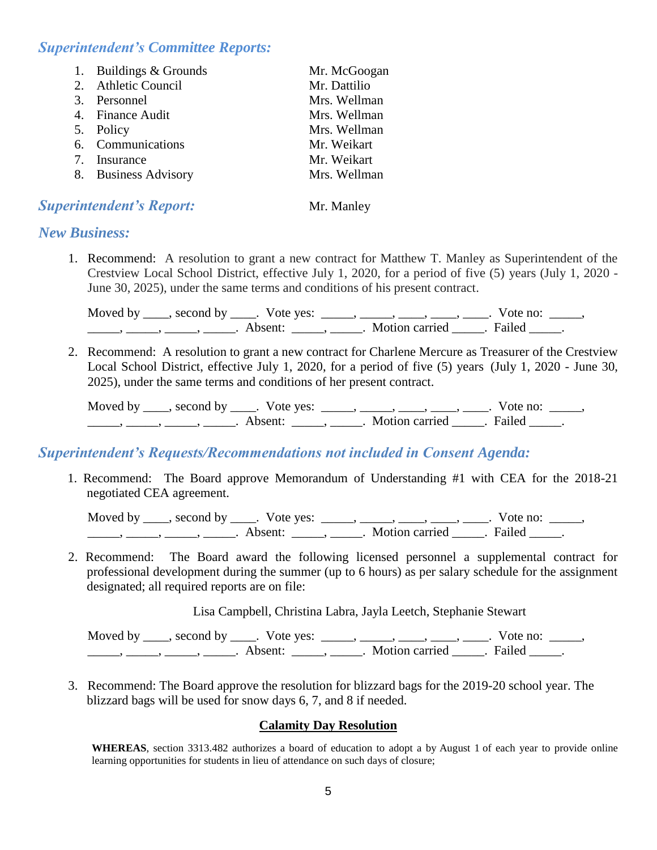## *Superintendent's Committee Reports:*

| 1. Buildings & Grounds | Mr. McGoogan |
|------------------------|--------------|
| 2. Athletic Council    | Mr. Dattilio |
| 3. Personnel           | Mrs. Wellman |
| 4. Finance Audit       | Mrs. Wellman |
| 5. Policy              | Mrs. Wellman |
| 6. Communications      | Mr. Weikart  |
| 7. Insurance           | Mr. Weikart  |
| 8. Business Advisory   | Mrs. Wellman |
|                        |              |

### **Superintendent's Report:** Mr. Manley

## *New Business:*

1. Recommend: A resolution to grant a new contract for Matthew T. Manley as Superintendent of the Crestview Local School District, effective July 1, 2020, for a period of five (5) years (July 1, 2020 - June 30, 2025), under the same terms and conditions of his present contract.

Moved by \_\_\_\_, second by \_\_\_\_. Vote yes: \_\_\_\_\_, \_\_\_\_\_, \_\_\_\_, \_\_\_\_, \_\_\_\_. Vote no: \_\_\_\_\_, \_\_\_\_\_\_\_, \_\_\_\_\_\_, \_\_\_\_\_\_\_. Absent: \_\_\_\_\_\_, \_\_\_\_\_\_. Motion carried \_\_\_\_\_\_. Failed \_\_\_\_\_.

2. Recommend: A resolution to grant a new contract for Charlene Mercure as Treasurer of the Crestview Local School District, effective July 1, 2020, for a period of five (5) years (July 1, 2020 - June 30, 2025), under the same terms and conditions of her present contract.

Moved by \_\_\_\_, second by \_\_\_\_. Vote yes: \_\_\_\_\_, \_\_\_\_, \_\_\_\_, \_\_\_\_, \_\_\_\_. Vote no: \_\_\_\_\_,  $\frac{1}{\cdot}$   $\frac{1}{\cdot}$   $\frac{1}{\cdot}$   $\frac{1}{\cdot}$   $\frac{1}{\cdot}$   $\frac{1}{\cdot}$   $\frac{1}{\cdot}$   $\frac{1}{\cdot}$   $\frac{1}{\cdot}$   $\frac{1}{\cdot}$   $\frac{1}{\cdot}$   $\frac{1}{\cdot}$   $\frac{1}{\cdot}$   $\frac{1}{\cdot}$   $\frac{1}{\cdot}$   $\frac{1}{\cdot}$   $\frac{1}{\cdot}$   $\frac{1}{\cdot}$   $\frac{1}{\cdot}$   $\frac{1}{\cdot}$ 

### *Superintendent's Requests/Recommendations not included in Consent Agenda:*

1. Recommend: The Board approve Memorandum of Understanding #1 with CEA for the 2018-21 negotiated CEA agreement.

Moved by \_\_\_\_, second by \_\_\_\_. Vote yes: \_\_\_\_\_, \_\_\_\_, \_\_\_\_, \_\_\_\_, \_\_\_\_. Vote no: \_\_\_\_\_, \_\_\_\_\_, \_\_\_\_\_, \_\_\_\_\_, \_\_\_\_\_. Absent: \_\_\_\_\_, \_\_\_\_\_. Motion carried \_\_\_\_\_. Failed \_\_\_\_\_.

2. Recommend: The Board award the following licensed personnel a supplemental contract for professional development during the summer (up to 6 hours) as per salary schedule for the assignment designated; all required reports are on file:

Lisa Campbell, Christina Labra, Jayla Leetch, Stephanie Stewart

Moved by  $\_\_\_\_\$ second by  $\_\_\_\$ . Vote yes:  $\_\_\_\_\_\_\_\_\_\_\_\_\_\_\_\_\_\_\_\_\_\_\_\_\_\_\_\_\_\_\_\_\_\_\_$  Vote no:  $\_\_\_\_\_\_\_\_\_\_$ \_\_\_\_\_\_\_, \_\_\_\_\_\_, \_\_\_\_\_\_\_. Absent: \_\_\_\_\_\_, \_\_\_\_\_\_. Motion carried \_\_\_\_\_\_. Failed \_\_\_\_\_.

3. Recommend: The Board approve the resolution for blizzard bags for the 2019-20 school year. The blizzard bags will be used for snow days 6, 7, and 8 if needed.

#### **Calamity Day Resolution**

**WHEREAS**, section 3313.482 authorizes a board of education to adopt a by August 1 of each year to provide online learning opportunities for students in lieu of attendance on such days of closure;